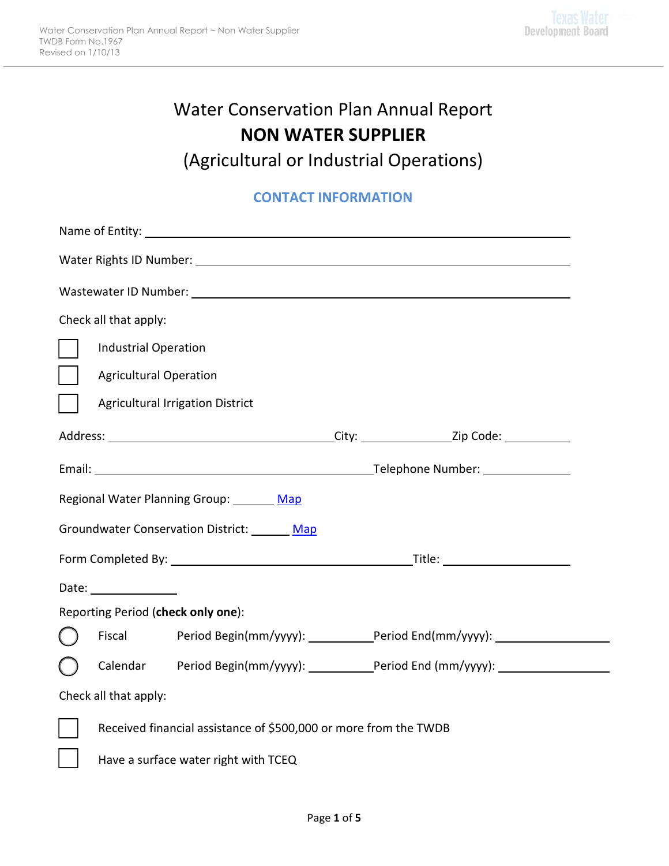# Water Conservation Plan Annual Report **NON WATER SUPPLIER**

(Agricultural or Industrial Operations)

# **CONTACT INFORMATION**

| Name of Entity: Name of Entity: |                                                                  |                                         |  |                                                                                                                |  |  |
|---------------------------------|------------------------------------------------------------------|-----------------------------------------|--|----------------------------------------------------------------------------------------------------------------|--|--|
|                                 |                                                                  |                                         |  |                                                                                                                |  |  |
|                                 |                                                                  |                                         |  | Wastewater ID Number: 1999 - 1999 - 1999 - 1999 - 1999 - 1999 - 1999 - 1999 - 1999 - 1999 - 1999 - 1999 - 1999 |  |  |
|                                 | Check all that apply:                                            |                                         |  |                                                                                                                |  |  |
|                                 | <b>Industrial Operation</b>                                      |                                         |  |                                                                                                                |  |  |
|                                 | <b>Agricultural Operation</b>                                    |                                         |  |                                                                                                                |  |  |
|                                 |                                                                  | <b>Agricultural Irrigation District</b> |  |                                                                                                                |  |  |
|                                 |                                                                  |                                         |  |                                                                                                                |  |  |
|                                 |                                                                  |                                         |  |                                                                                                                |  |  |
|                                 |                                                                  | Regional Water Planning Group: Map      |  |                                                                                                                |  |  |
|                                 |                                                                  | Groundwater Conservation District: Map  |  |                                                                                                                |  |  |
|                                 |                                                                  |                                         |  |                                                                                                                |  |  |
|                                 | Date: _______________                                            |                                         |  |                                                                                                                |  |  |
|                                 | Reporting Period (check only one):                               |                                         |  |                                                                                                                |  |  |
|                                 |                                                                  |                                         |  | Fiscal Period Begin(mm/yyyy): _______________Period End(mm/yyyy): ______________                               |  |  |
|                                 |                                                                  |                                         |  | Calendar Period Begin(mm/yyyy): _____________Period End (mm/yyyy): _____________                               |  |  |
| Check all that apply:           |                                                                  |                                         |  |                                                                                                                |  |  |
|                                 | Received financial assistance of \$500,000 or more from the TWDB |                                         |  |                                                                                                                |  |  |
|                                 |                                                                  | Have a surface water right with TCEQ    |  |                                                                                                                |  |  |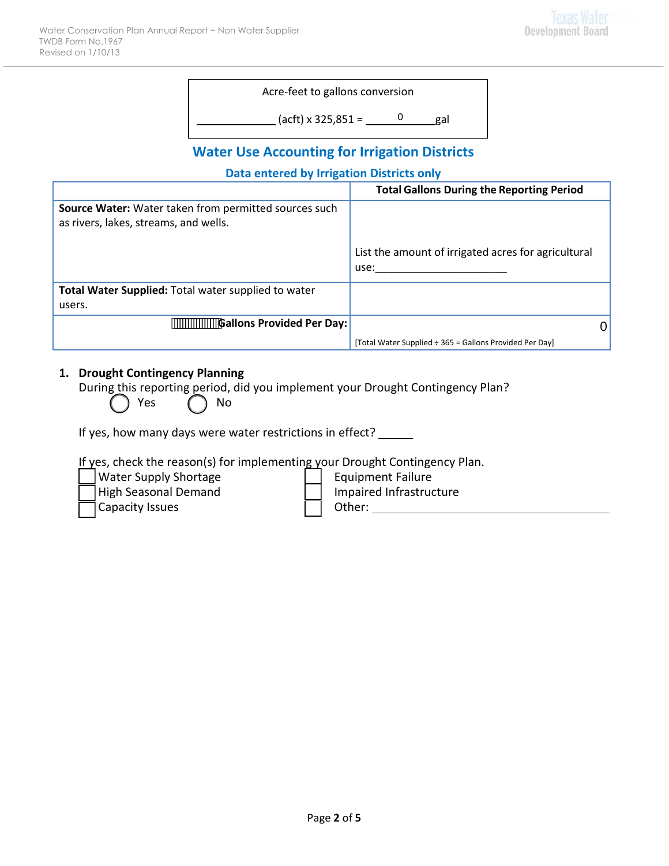| Acre-feet to gallons conversion |     |
|---------------------------------|-----|
| $(act) \times 325,851 =$        | gal |

# **Water Use Accounting for Irrigation Districts**

### **Data entered by Irrigation Districts only**

|                                                                                                | <b>Total Gallons During the Reporting Period</b>            |
|------------------------------------------------------------------------------------------------|-------------------------------------------------------------|
| Source Water: Water taken from permitted sources such<br>as rivers, lakes, streams, and wells. |                                                             |
|                                                                                                | List the amount of irrigated acres for agricultural<br>use: |
| Total Water Supplied: Total water supplied to water                                            |                                                             |
| users.                                                                                         |                                                             |
| <b>Gallons Provided Per Day:</b>                                                               |                                                             |
|                                                                                                | [Total Water Supplied ÷ 365 = Gallons Provided Per Day]     |

### **1. Drought Contingency Planning**

During this reporting period, did you implement your Drought Contingency Plan?

| Yes<br>$\mathcal{L}$ | No |
|----------------------|----|
|                      |    |

If yes, how many days were water restrictions in effect? \_\_\_\_\_

If yes, check the reason(s) for implementing your Drought Contingency Plan.

| Water Su |
|----------|
| High Sea |

Capacity Issues  $\Box$  Other:  $\Box$ 

upply Shortage **Example 1** | Equipment Failure International Demand Infrastructure Infrastructure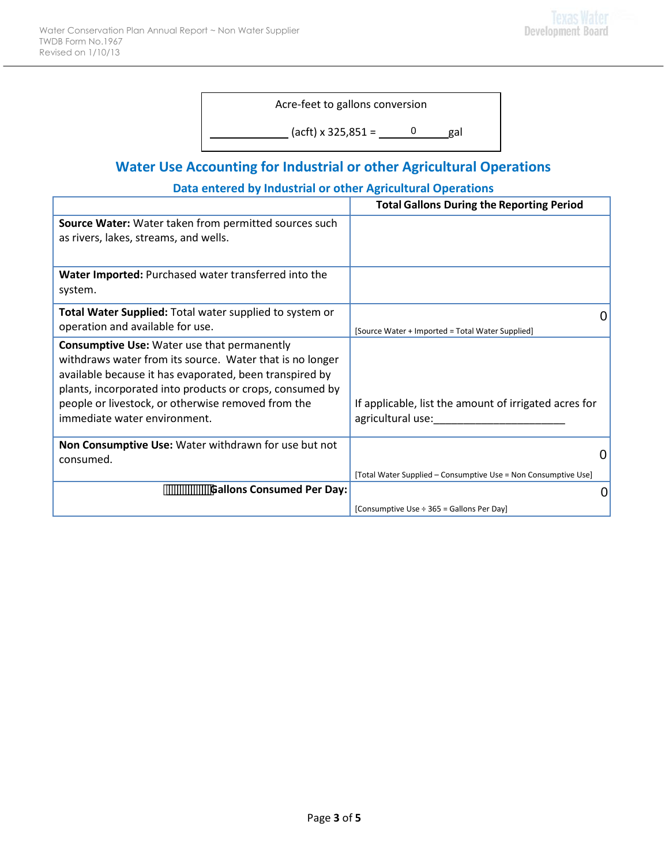Acre-feet to gallons conversion

(acft) x 325,851 = 0 gal

# **Water Use Accounting for Industrial or other Agricultural Operations**

### **Data entered by Industrial or other Agricultural Operations**

|                                                                                                                                                                                                                                                                                                                             | <b>Total Gallons During the Reporting Period</b>                                                  |
|-----------------------------------------------------------------------------------------------------------------------------------------------------------------------------------------------------------------------------------------------------------------------------------------------------------------------------|---------------------------------------------------------------------------------------------------|
| Source Water: Water taken from permitted sources such<br>as rivers, lakes, streams, and wells.                                                                                                                                                                                                                              |                                                                                                   |
| Water Imported: Purchased water transferred into the<br>system.                                                                                                                                                                                                                                                             |                                                                                                   |
| Total Water Supplied: Total water supplied to system or<br>operation and available for use.                                                                                                                                                                                                                                 | [Source Water + Imported = Total Water Supplied]                                                  |
| <b>Consumptive Use: Water use that permanently</b><br>withdraws water from its source. Water that is no longer<br>available because it has evaporated, been transpired by<br>plants, incorporated into products or crops, consumed by<br>people or livestock, or otherwise removed from the<br>immediate water environment. | If applicable, list the amount of irrigated acres for<br>agricultural use:<br><u>agricultural</u> |
| Non Consumptive Use: Water withdrawn for use but not<br>consumed.                                                                                                                                                                                                                                                           | 0                                                                                                 |
| <b>Gallons Consumed Per Day:</b>                                                                                                                                                                                                                                                                                            | [Total Water Supplied – Consumptive Use = Non Consumptive Use]<br>0                               |
|                                                                                                                                                                                                                                                                                                                             | [Consumptive Use ÷ 365 = Gallons Per Day]                                                         |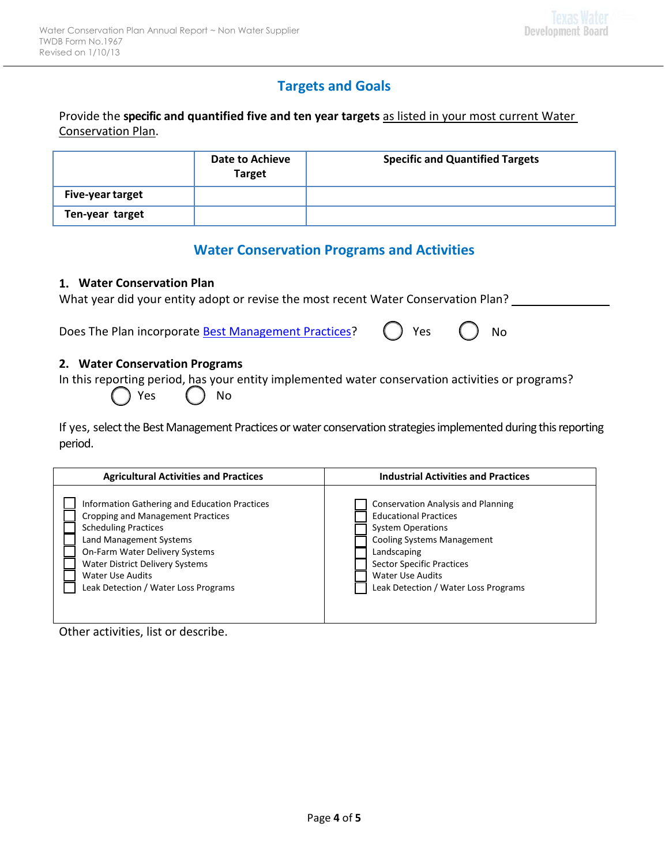# **Targets and Goals**

Provide the **specific and quantified five and ten year targets** as listed in your most current Water Conservation Plan.

|                         | <b>Date to Achieve</b><br><b>Target</b> | <b>Specific and Quantified Targets</b> |
|-------------------------|-----------------------------------------|----------------------------------------|
| <b>Five-year target</b> |                                         |                                        |
| Ten-year target         |                                         |                                        |

## **Water Conservation Programs and Activities**

### **1. Water Conservation Plan**

| What year did your entity adopt or revise the most recent Water Conservation Plan? |  |
|------------------------------------------------------------------------------------|--|
|                                                                                    |  |

Does The Plan incorporate **Best Management Practices**? () Yes () No

#### **2. Water Conservation Programs**

In this reporting period, has your entity implemented water conservation activities or programs?

| (res | ( ) No |  |
|------|--------|--|
|------|--------|--|

If yes, select the Best Management Practices or water conservation strategies implemented during this reporting period.

| <b>Agricultural Activities and Practices</b>  | <b>Industrial Activities and Practices</b> |  |
|-----------------------------------------------|--------------------------------------------|--|
| Information Gathering and Education Practices | <b>Conservation Analysis and Planning</b>  |  |
| <b>Cropping and Management Practices</b>      | <b>Educational Practices</b>               |  |
| <b>Scheduling Practices</b>                   | <b>System Operations</b>                   |  |
| Land Management Systems                       | <b>Cooling Systems Management</b>          |  |
| On-Farm Water Delivery Systems                | Landscaping                                |  |
| <b>Water District Delivery Systems</b>        | <b>Sector Specific Practices</b>           |  |
| <b>Water Use Audits</b>                       | <b>Water Use Audits</b>                    |  |
| Leak Detection / Water Loss Programs          | Leak Detection / Water Loss Programs       |  |

Other activities, list or describe.